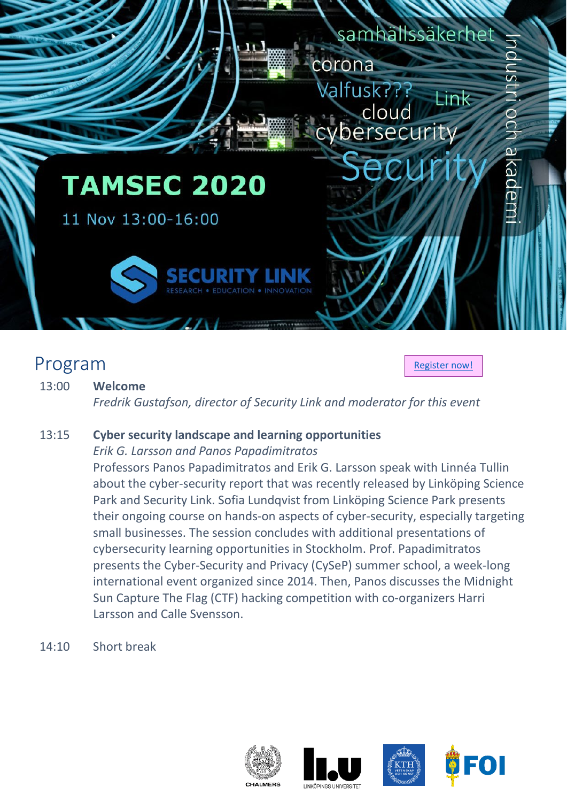

# Program

[Register now!](https://www.lyyti.fi/reg/TAMSEC_2020)

## 13:00 **Welcome** *Fredrik Gustafson, director of Security Link and moderator for this event*

## 13:15 **Cyber security landscape and learning opportunities**

## *Erik G. Larsson and Panos Papadimitratos*

Professors Panos Papadimitratos and Erik G. Larsson speak with Linnéa Tullin about the cyber-security report that was recently released by Linköping Science Park and Security Link. Sofia Lundqvist from Linköping Science Park presents their ongoing course on hands-on aspects of cyber-security, especially targeting small businesses. The session concludes with additional presentations of cybersecurity learning opportunities in Stockholm. Prof. Papadimitratos presents the Cyber-Security and Privacy (CySeP) summer school, a week-long international event organized since 2014. Then, Panos discusses the Midnight Sun Capture The Flag (CTF) hacking competition with co-organizers Harri Larsson and Calle Svensson.

## 14:10 Short break